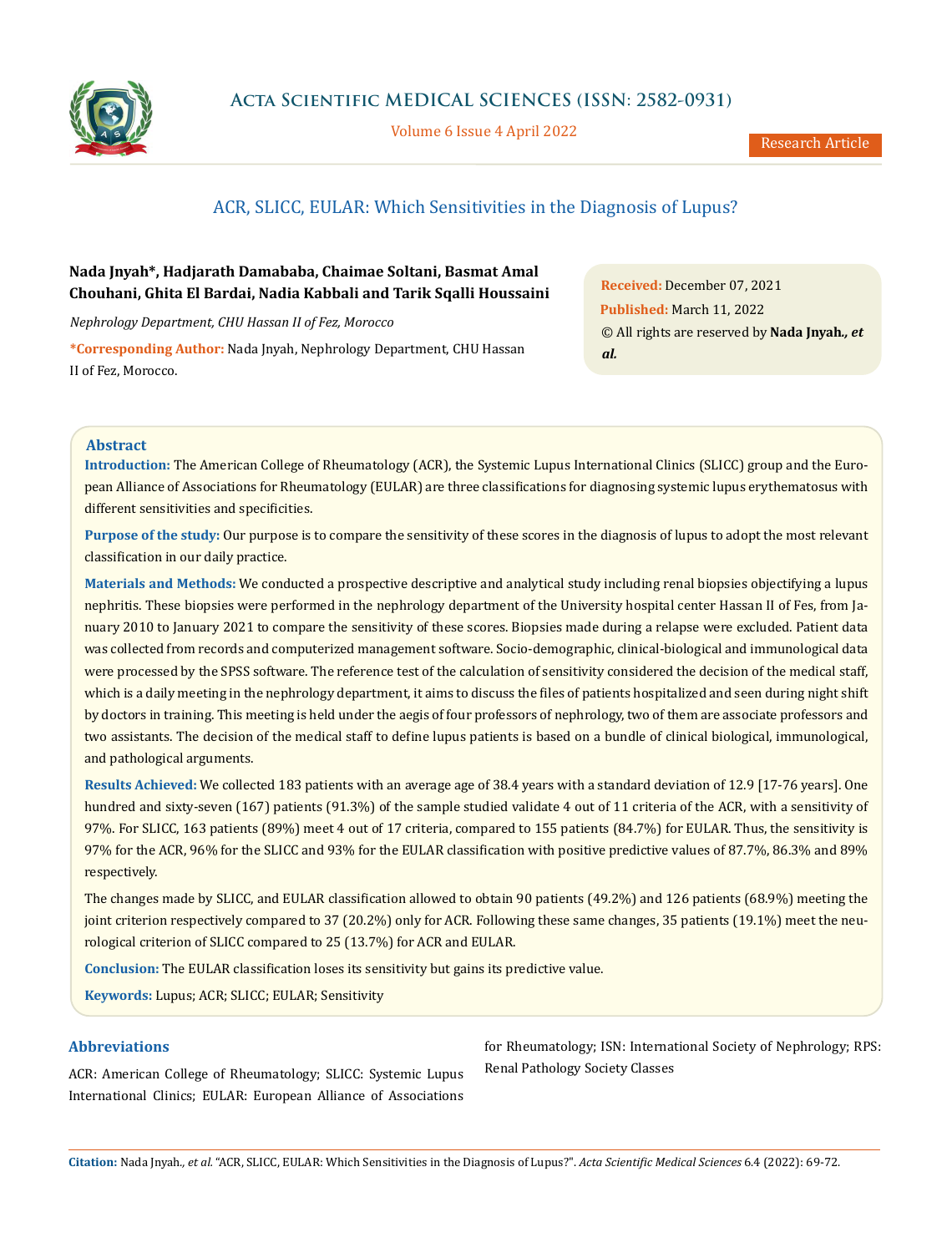

Volume 6 Issue 4 April 2022

# ACR, SLICC, EULAR: Which Sensitivities in the Diagnosis of Lupus?

## **Nada Jnyah\*, Hadjarath Damababa, Chaimae Soltani, Basmat Amal Chouhani, Ghita El Bardai, Nadia Kabbali and Tarik Sqalli Houssaini**

*Nephrology Department, CHU Hassan II of Fez, Morocco*

**\*Corresponding Author:** Nada Jnyah, Nephrology Department, CHU Hassan II of Fez, Morocco.

**Received:** December 07, 2021 **Published:** March 11, 2022 © All rights are reserved by **Nada Jnyah***., et al.*

## **Abstract**

**Introduction:** The American College of Rheumatology (ACR), the Systemic Lupus International Clinics (SLICC) group and the European Alliance of Associations for Rheumatology (EULAR) are three classifications for diagnosing systemic lupus erythematosus with different sensitivities and specificities.

**Purpose of the study:** Our purpose is to compare the sensitivity of these scores in the diagnosis of lupus to adopt the most relevant classification in our daily practice.

**Materials and Methods:** We conducted a prospective descriptive and analytical study including renal biopsies objectifying a lupus nephritis. These biopsies were performed in the nephrology department of the University hospital center Hassan II of Fes, from January 2010 to January 2021 to compare the sensitivity of these scores. Biopsies made during a relapse were excluded. Patient data was collected from records and computerized management software. Socio-demographic, clinical-biological and immunological data were processed by the SPSS software. The reference test of the calculation of sensitivity considered the decision of the medical staff, which is a daily meeting in the nephrology department, it aims to discuss the files of patients hospitalized and seen during night shift by doctors in training. This meeting is held under the aegis of four professors of nephrology, two of them are associate professors and two assistants. The decision of the medical staff to define lupus patients is based on a bundle of clinical biological, immunological, and pathological arguments.

**Results Achieved:** We collected 183 patients with an average age of 38.4 years with a standard deviation of 12.9 [17-76 years]. One hundred and sixty-seven (167) patients (91.3%) of the sample studied validate 4 out of 11 criteria of the ACR, with a sensitivity of 97%. For SLICC, 163 patients (89%) meet 4 out of 17 criteria, compared to 155 patients (84.7%) for EULAR. Thus, the sensitivity is 97% for the ACR, 96% for the SLICC and 93% for the EULAR classification with positive predictive values of 87.7%, 86.3% and 89% respectively.

The changes made by SLICC, and EULAR classification allowed to obtain 90 patients (49.2%) and 126 patients (68.9%) meeting the joint criterion respectively compared to 37 (20.2%) only for ACR. Following these same changes, 35 patients (19.1%) meet the neurological criterion of SLICC compared to 25 (13.7%) for ACR and EULAR.

**Conclusion:** The EULAR classification loses its sensitivity but gains its predictive value.

**Keywords:** Lupus; ACR; SLICC; EULAR; Sensitivity

## **Abbreviations**

ACR: American College of Rheumatology; SLICC: Systemic Lupus International Clinics; EULAR: European Alliance of Associations for Rheumatology; ISN: International Society of Nephrology; RPS: Renal Pathology Society Classes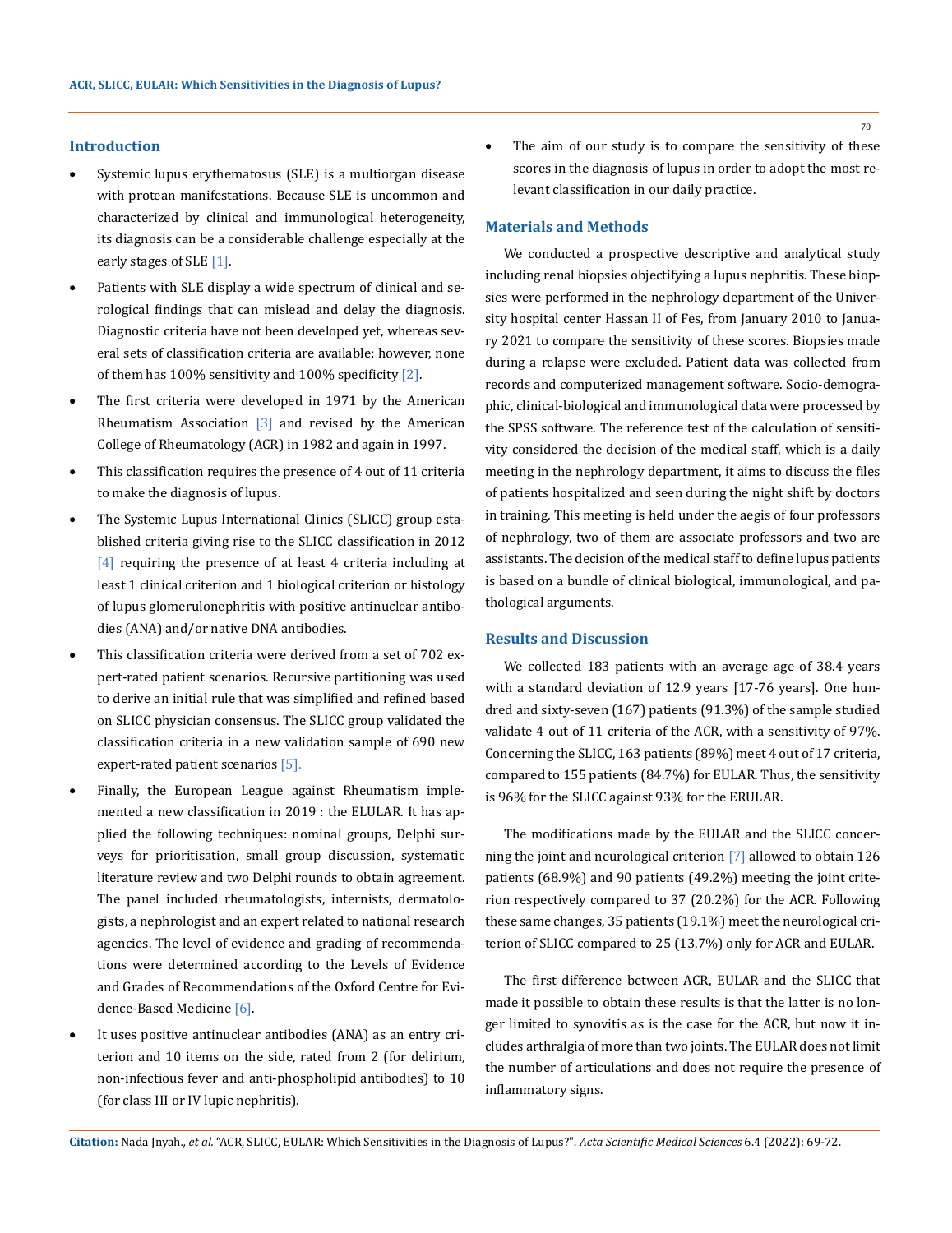#### **Introduction**

- Systemic lupus erythematosus (SLE) is a multiorgan disease with protean manifestations. Because SLE is uncommon and characterized by clinical and immunological heterogeneity, its diagnosis can be a considerable challenge especially at the early stages of SLE [1].
- Patients with SLE display a wide spectrum of clinical and serological findings that can mislead and delay the diagnosis. Diagnostic criteria have not been developed yet, whereas several sets of classification criteria are available; however, none of them has 100% sensitivity and 100% specificity [2].
- The first criteria were developed in 1971 by the American Rheumatism Association [3] and revised by the American College of Rheumatology (ACR) in 1982 and again in 1997.
- This classification requires the presence of 4 out of 11 criteria to make the diagnosis of lupus.
- The Systemic Lupus International Clinics (SLICC) group established criteria giving rise to the SLICC classification in 2012 [4] requiring the presence of at least 4 criteria including at least 1 clinical criterion and 1 biological criterion or histology of lupus glomerulonephritis with positive antinuclear antibodies (ANA) and/or native DNA antibodies.
- This classification criteria were derived from a set of 702 expert-rated patient scenarios. Recursive partitioning was used to derive an initial rule that was simplified and refined based on SLICC physician consensus. The SLICC group validated the classification criteria in a new validation sample of 690 new expert-rated patient scenarios [5].
- Finally, the European League against Rheumatism implemented a new classification in 2019 : the ELULAR. It has applied the following techniques: nominal groups, Delphi surveys for prioritisation, small group discussion, systematic literature review and two Delphi rounds to obtain agreement. The panel included rheumatologists, internists, dermatologists, a nephrologist and an expert related to national research agencies. The level of evidence and grading of recommendations were determined according to the Levels of Evidence and Grades of Recommendations of the Oxford Centre for Evidence-Based Medicine [6].
- It uses positive antinuclear antibodies (ANA) as an entry criterion and 10 items on the side, rated from 2 (for delirium, non-infectious fever and anti-phospholipid antibodies) to 10 (for class III or IV lupic nephritis).

• The aim of our study is to compare the sensitivity of these scores in the diagnosis of lupus in order to adopt the most relevant classification in our daily practice.

#### **Materials and Methods**

We conducted a prospective descriptive and analytical study including renal biopsies objectifying a lupus nephritis. These biopsies were performed in the nephrology department of the University hospital center Hassan II of Fes, from January 2010 to January 2021 to compare the sensitivity of these scores. Biopsies made during a relapse were excluded. Patient data was collected from records and computerized management software. Socio-demographic, clinical-biological and immunological data were processed by the SPSS software. The reference test of the calculation of sensitivity considered the decision of the medical staff, which is a daily meeting in the nephrology department, it aims to discuss the files of patients hospitalized and seen during the night shift by doctors in training. This meeting is held under the aegis of four professors of nephrology, two of them are associate professors and two are assistants. The decision of the medical staff to define lupus patients is based on a bundle of clinical biological, immunological, and pathological arguments.

#### **Results and Discussion**

We collected 183 patients with an average age of 38.4 years with a standard deviation of 12.9 years [17-76 years]. One hundred and sixty-seven (167) patients (91.3%) of the sample studied validate 4 out of 11 criteria of the ACR, with a sensitivity of 97%. Concerning the SLICC, 163 patients (89%) meet 4 out of 17 criteria, compared to 155 patients (84.7%) for EULAR. Thus, the sensitivity is 96% for the SLICC against 93% for the ERULAR.

The modifications made by the EULAR and the SLICC concerning the joint and neurological criterion [7] allowed to obtain 126 patients (68.9%) and 90 patients (49.2%) meeting the joint criterion respectively compared to 37 (20.2%) for the ACR. Following these same changes, 35 patients (19.1%) meet the neurological criterion of SLICC compared to 25 (13.7%) only for ACR and EULAR.

The first difference between ACR, EULAR and the SLICC that made it possible to obtain these results is that the latter is no longer limited to synovitis as is the case for the ACR, but now it includes arthralgia of more than two joints. The EULAR does not limit the number of articulations and does not require the presence of inflammatory signs.

**Citation:** Nada Jnyah*., et al.* "ACR, SLICC, EULAR: Which Sensitivities in the Diagnosis of Lupus?". *Acta Scientific Medical Sciences* 6.4 (2022): 69-72.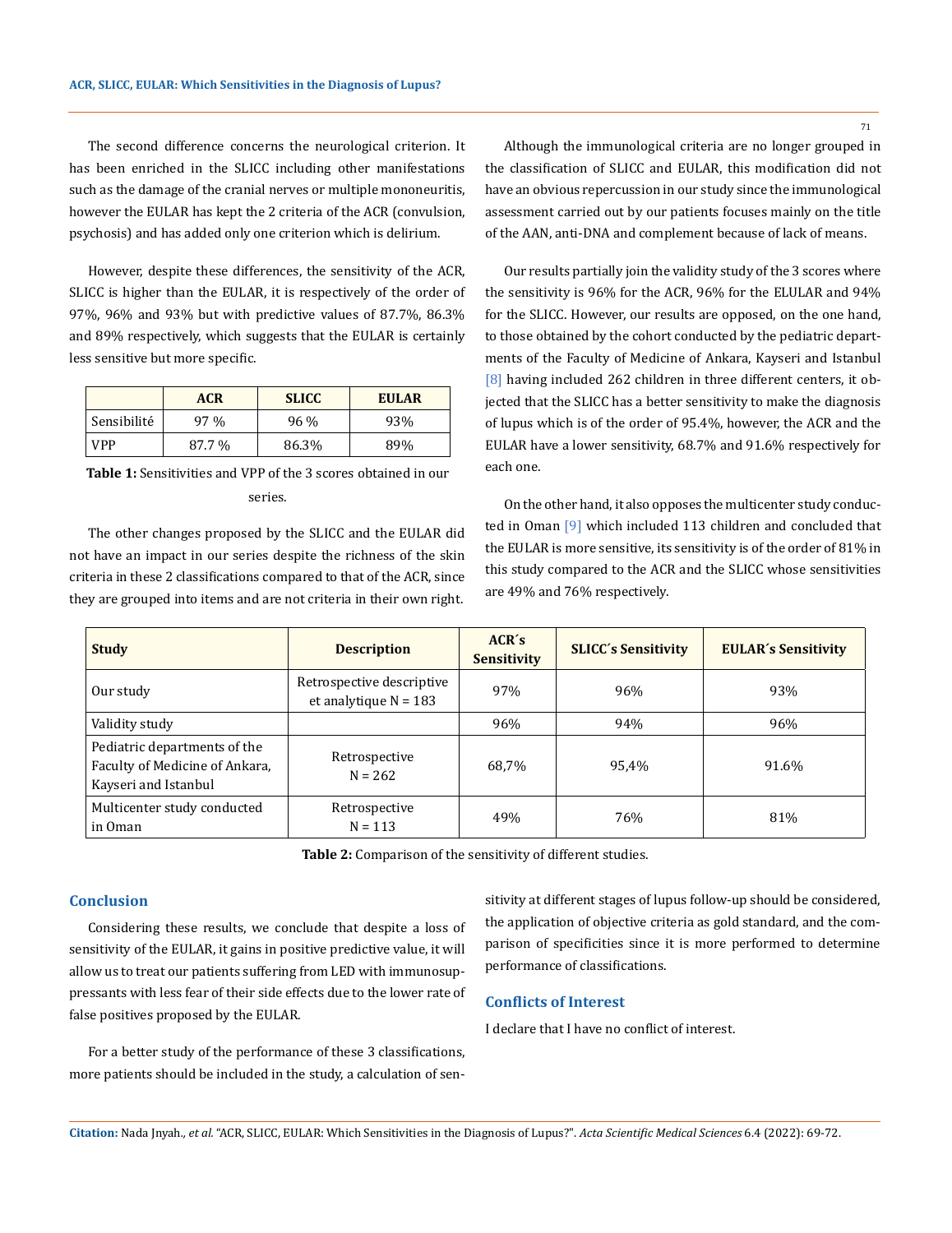The second difference concerns the neurological criterion. It has been enriched in the SLICC including other manifestations such as the damage of the cranial nerves or multiple mononeuritis, however the EULAR has kept the 2 criteria of the ACR (convulsion, psychosis) and has added only one criterion which is delirium.

However, despite these differences, the sensitivity of the ACR, SLICC is higher than the EULAR, it is respectively of the order of 97%, 96% and 93% but with predictive values of 87.7%, 86.3% and 89% respectively, which suggests that the EULAR is certainly less sensitive but more specific.

|             | <b>ACR</b> | <b>SLICC</b> | <b>EULAR</b> |
|-------------|------------|--------------|--------------|
| Sensibilité | 97 %       | 96 %         | 93%          |
| VPP         | 87.7 %     | 86.3%        | 89%          |

**Table 1:** Sensitivities and VPP of the 3 scores obtained in our series.

The other changes proposed by the SLICC and the EULAR did not have an impact in our series despite the richness of the skin criteria in these 2 classifications compared to that of the ACR, since they are grouped into items and are not criteria in their own right.

Although the immunological criteria are no longer grouped in the classification of SLICC and EULAR, this modification did not have an obvious repercussion in our study since the immunological assessment carried out by our patients focuses mainly on the title of the AAN, anti-DNA and complement because of lack of means.

Our results partially join the validity study of the 3 scores where the sensitivity is 96% for the ACR, 96% for the ELULAR and 94% for the SLICC. However, our results are opposed, on the one hand, to those obtained by the cohort conducted by the pediatric departments of the Faculty of Medicine of Ankara, Kayseri and Istanbul [8] having included 262 children in three different centers, it objected that the SLICC has a better sensitivity to make the diagnosis of lupus which is of the order of 95.4%, however, the ACR and the EULAR have a lower sensitivity, 68.7% and 91.6% respectively for each one.

On the other hand, it also opposes the multicenter study conducted in Oman [9] which included 113 children and concluded that the EULAR is more sensitive, its sensitivity is of the order of 81% in this study compared to the ACR and the SLICC whose sensitivities are 49% and 76% respectively.

| <b>Study</b>                                                                           | <b>Description</b>                                   | ACR's<br><b>Sensitivity</b> | <b>SLICC's Sensitivity</b> | <b>EULAR's Sensitivity</b> |
|----------------------------------------------------------------------------------------|------------------------------------------------------|-----------------------------|----------------------------|----------------------------|
| Our study                                                                              | Retrospective descriptive<br>et analytique $N = 183$ | 97%                         | 96%                        | 93%                        |
| Validity study                                                                         |                                                      | 96%                         | 94%                        | 96%                        |
| Pediatric departments of the<br>Faculty of Medicine of Ankara,<br>Kayseri and Istanbul | Retrospective<br>$N = 262$                           | 68,7%                       | 95,4%                      | 91.6%                      |
| Multicenter study conducted<br>in Oman                                                 | Retrospective<br>$N = 113$                           | 49%                         | 76%                        | 81%                        |

**Table 2:** Comparison of the sensitivity of different studies.

## **Conclusion**

Considering these results, we conclude that despite a loss of sensitivity of the EULAR, it gains in positive predictive value, it will allow us to treat our patients suffering from LED with immunosuppressants with less fear of their side effects due to the lower rate of false positives proposed by the EULAR.

For a better study of the performance of these 3 classifications, more patients should be included in the study, a calculation of sensitivity at different stages of lupus follow-up should be considered, the application of objective criteria as gold standard, and the comparison of specificities since it is more performed to determine performance of classifications.

## **Conflicts of Interest**

I declare that I have no conflict of interest.

71